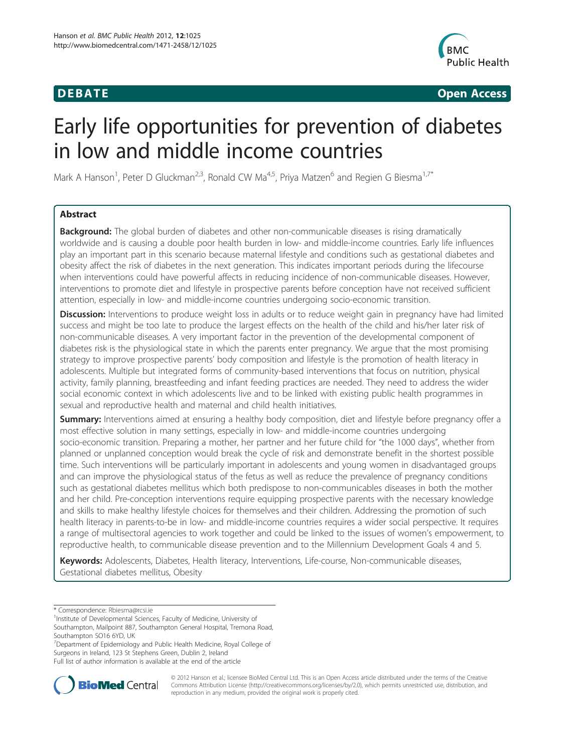

**DEBATE CONSIDERED ACCESS Open Access** 

# Early life opportunities for prevention of diabetes in low and middle income countries

Mark A Hanson<sup>1</sup>, Peter D Gluckman<sup>2,3</sup>, Ronald CW Ma<sup>4,5</sup>, Priya Matzen<sup>6</sup> and Regien G Biesma<sup>1,7\*</sup>

# Abstract

**Background:** The global burden of diabetes and other non-communicable diseases is rising dramatically worldwide and is causing a double poor health burden in low- and middle-income countries. Early life influences play an important part in this scenario because maternal lifestyle and conditions such as gestational diabetes and obesity affect the risk of diabetes in the next generation. This indicates important periods during the lifecourse when interventions could have powerful affects in reducing incidence of non-communicable diseases. However, interventions to promote diet and lifestyle in prospective parents before conception have not received sufficient attention, especially in low- and middle-income countries undergoing socio-economic transition.

Discussion: Interventions to produce weight loss in adults or to reduce weight gain in pregnancy have had limited success and might be too late to produce the largest effects on the health of the child and his/her later risk of non-communicable diseases. A very important factor in the prevention of the developmental component of diabetes risk is the physiological state in which the parents enter pregnancy. We argue that the most promising strategy to improve prospective parents' body composition and lifestyle is the promotion of health literacy in adolescents. Multiple but integrated forms of community-based interventions that focus on nutrition, physical activity, family planning, breastfeeding and infant feeding practices are needed. They need to address the wider social economic context in which adolescents live and to be linked with existing public health programmes in sexual and reproductive health and maternal and child health initiatives.

**Summary:** Interventions aimed at ensuring a healthy body composition, diet and lifestyle before pregnancy offer a most effective solution in many settings, especially in low- and middle-income countries undergoing socio-economic transition. Preparing a mother, her partner and her future child for "the 1000 days", whether from planned or unplanned conception would break the cycle of risk and demonstrate benefit in the shortest possible time. Such interventions will be particularly important in adolescents and young women in disadvantaged groups and can improve the physiological status of the fetus as well as reduce the prevalence of pregnancy conditions such as gestational diabetes mellitus which both predispose to non-communicables diseases in both the mother and her child. Pre-conception interventions require equipping prospective parents with the necessary knowledge and skills to make healthy lifestyle choices for themselves and their children. Addressing the promotion of such health literacy in parents-to-be in low- and middle-income countries requires a wider social perspective. It requires a range of multisectoral agencies to work together and could be linked to the issues of women's empowerment, to reproductive health, to communicable disease prevention and to the Millennium Development Goals 4 and 5.

Keywords: Adolescents, Diabetes, Health literacy, Interventions, Life-course, Non-communicable diseases, Gestational diabetes mellitus, Obesity

<sup>7</sup>Department of Epidemiology and Public Health Medicine, Royal College of Surgeons in Ireland, 123 St Stephens Green, Dublin 2, Ireland Full list of author information is available at the end of the article



© 2012 Hanson et al.; licensee BioMed Central Ltd. This is an Open Access article distributed under the terms of the Creative Commons Attribution License [\(http://creativecommons.org/licenses/by/2.0\)](http://creativecommons.org/licenses/by/2.0), which permits unrestricted use, distribution, and reproduction in any medium, provided the original work is properly cited.

<sup>\*</sup> Correspondence: [Rbiesma@rcsi.ie](mailto:Rbiesma@rcsi.ie) <sup>1</sup>

<sup>&</sup>lt;sup>1</sup>Institute of Developmental Sciences, Faculty of Medicine, University of Southampton, Mailpoint 887, Southampton General Hospital, Tremona Road,

Southampton SO16 6YD, UK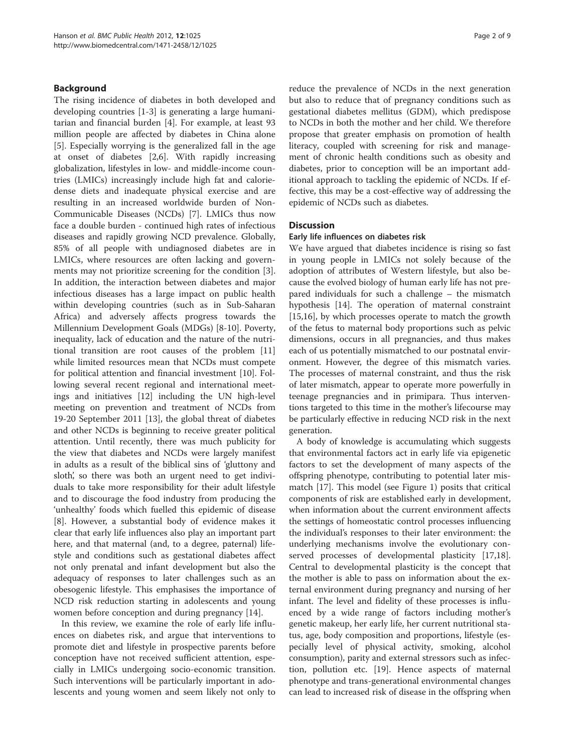# Background

The rising incidence of diabetes in both developed and developing countries [[1-3](#page-6-0)] is generating a large humanitarian and financial burden [[4](#page-6-0)]. For example, at least 93 million people are affected by diabetes in China alone [[5\]](#page-6-0). Especially worrying is the generalized fall in the age at onset of diabetes [\[2,6](#page-6-0)]. With rapidly increasing globalization, lifestyles in low- and middle-income countries (LMICs) increasingly include high fat and caloriedense diets and inadequate physical exercise and are resulting in an increased worldwide burden of Non-Communicable Diseases (NCDs) [\[7](#page-6-0)]. LMICs thus now face a double burden - continued high rates of infectious diseases and rapidly growing NCD prevalence. Globally, 85% of all people with undiagnosed diabetes are in LMICs, where resources are often lacking and governments may not prioritize screening for the condition [\[3](#page-6-0)]. In addition, the interaction between diabetes and major infectious diseases has a large impact on public health within developing countries (such as in Sub-Saharan Africa) and adversely affects progress towards the Millennium Development Goals (MDGs) [\[8-10](#page-6-0)]. Poverty, inequality, lack of education and the nature of the nutritional transition are root causes of the problem [[11](#page-6-0)] while limited resources mean that NCDs must compete for political attention and financial investment [[10](#page-6-0)]. Following several recent regional and international meetings and initiatives [\[12\]](#page-6-0) including the UN high-level meeting on prevention and treatment of NCDs from 19-20 September 2011 [\[13](#page-6-0)], the global threat of diabetes and other NCDs is beginning to receive greater political attention. Until recently, there was much publicity for the view that diabetes and NCDs were largely manifest in adults as a result of the biblical sins of 'gluttony and sloth', so there was both an urgent need to get individuals to take more responsibility for their adult lifestyle and to discourage the food industry from producing the 'unhealthy' foods which fuelled this epidemic of disease [[8\]](#page-6-0). However, a substantial body of evidence makes it clear that early life influences also play an important part here, and that maternal (and, to a degree, paternal) lifestyle and conditions such as gestational diabetes affect not only prenatal and infant development but also the adequacy of responses to later challenges such as an obesogenic lifestyle. This emphasises the importance of NCD risk reduction starting in adolescents and young women before conception and during pregnancy [\[14](#page-6-0)].

In this review, we examine the role of early life influences on diabetes risk, and argue that interventions to promote diet and lifestyle in prospective parents before conception have not received sufficient attention, especially in LMICs undergoing socio-economic transition. Such interventions will be particularly important in adolescents and young women and seem likely not only to

reduce the prevalence of NCDs in the next generation but also to reduce that of pregnancy conditions such as gestational diabetes mellitus (GDM), which predispose to NCDs in both the mother and her child. We therefore propose that greater emphasis on promotion of health literacy, coupled with screening for risk and management of chronic health conditions such as obesity and diabetes, prior to conception will be an important additional approach to tackling the epidemic of NCDs. If effective, this may be a cost-effective way of addressing the epidemic of NCDs such as diabetes.

# **Discussion**

#### Early life influences on diabetes risk

We have argued that diabetes incidence is rising so fast in young people in LMICs not solely because of the adoption of attributes of Western lifestyle, but also because the evolved biology of human early life has not prepared individuals for such a challenge – the mismatch hypothesis [\[14](#page-6-0)]. The operation of maternal constraint [[15,16\]](#page-6-0), by which processes operate to match the growth of the fetus to maternal body proportions such as pelvic dimensions, occurs in all pregnancies, and thus makes each of us potentially mismatched to our postnatal environment. However, the degree of this mismatch varies. The processes of maternal constraint, and thus the risk of later mismatch, appear to operate more powerfully in teenage pregnancies and in primipara. Thus interventions targeted to this time in the mother's lifecourse may be particularly effective in reducing NCD risk in the next generation.

A body of knowledge is accumulating which suggests that environmental factors act in early life via epigenetic factors to set the development of many aspects of the offspring phenotype, contributing to potential later mismatch [[17](#page-6-0)]. This model (see Figure [1](#page-2-0)) posits that critical components of risk are established early in development, when information about the current environment affects the settings of homeostatic control processes influencing the individual's responses to their later environment: the underlying mechanisms involve the evolutionary conserved processes of developmental plasticity [\[17,18](#page-6-0)]. Central to developmental plasticity is the concept that the mother is able to pass on information about the external environment during pregnancy and nursing of her infant. The level and fidelity of these processes is influenced by a wide range of factors including mother's genetic makeup, her early life, her current nutritional status, age, body composition and proportions, lifestyle (especially level of physical activity, smoking, alcohol consumption), parity and external stressors such as infection, pollution etc. [\[19](#page-6-0)]. Hence aspects of maternal phenotype and trans-generational environmental changes can lead to increased risk of disease in the offspring when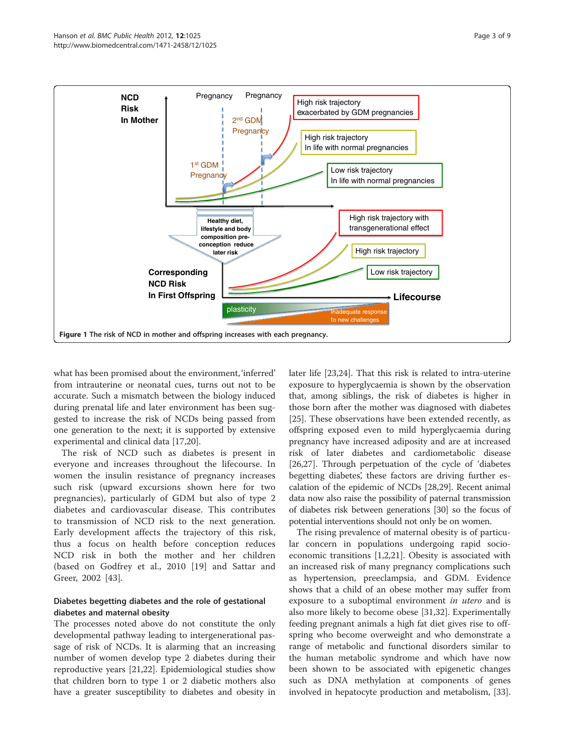<span id="page-2-0"></span>

what has been promised about the environment, 'inferred' from intrauterine or neonatal cues, turns out not to be accurate. Such a mismatch between the biology induced during prenatal life and later environment has been suggested to increase the risk of NCDs being passed from one generation to the next; it is supported by extensive experimental and clinical data [[17,20](#page-6-0)].

The risk of NCD such as diabetes is present in everyone and increases throughout the lifecourse. In women the insulin resistance of pregnancy increases such risk (upward excursions shown here for two pregnancies), particularly of GDM but also of type 2 diabetes and cardiovascular disease. This contributes to transmission of NCD risk to the next generation. Early development affects the trajectory of this risk, thus a focus on health before conception reduces NCD risk in both the mother and her children (based on Godfrey et al., 2010 [[19\]](#page-6-0) and Sattar and Greer, 2002 [[43\]](#page-7-0).

# Diabetes begetting diabetes and the role of gestational diabetes and maternal obesity

The processes noted above do not constitute the only developmental pathway leading to intergenerational passage of risk of NCDs. It is alarming that an increasing number of women develop type 2 diabetes during their reproductive years [[21,22\]](#page-6-0). Epidemiological studies show that children born to type 1 or 2 diabetic mothers also have a greater susceptibility to diabetes and obesity in later life [\[23,24\]](#page-6-0). That this risk is related to intra-uterine exposure to hyperglycaemia is shown by the observation that, among siblings, the risk of diabetes is higher in those born after the mother was diagnosed with diabetes [[25\]](#page-6-0). These observations have been extended recently, as offspring exposed even to mild hyperglycaemia during pregnancy have increased adiposity and are at increased risk of later diabetes and cardiometabolic disease [[26,27\]](#page-6-0). Through perpetuation of the cycle of 'diabetes begetting diabetes', these factors are driving further escalation of the epidemic of NCDs [[28,29\]](#page-6-0). Recent animal data now also raise the possibility of paternal transmission of diabetes risk between generations [\[30\]](#page-6-0) so the focus of potential interventions should not only be on women.

The rising prevalence of maternal obesity is of particular concern in populations undergoing rapid socioeconomic transitions [[1,2,21\]](#page-6-0). Obesity is associated with an increased risk of many pregnancy complications such as hypertension, preeclampsia, and GDM. Evidence shows that a child of an obese mother may suffer from exposure to a suboptimal environment in utero and is also more likely to become obese [\[31,32\]](#page-6-0). Experimentally feeding pregnant animals a high fat diet gives rise to offspring who become overweight and who demonstrate a range of metabolic and functional disorders similar to the human metabolic syndrome and which have now been shown to be associated with epigenetic changes such as DNA methylation at components of genes involved in hepatocyte production and metabolism, [\[33](#page-7-0)].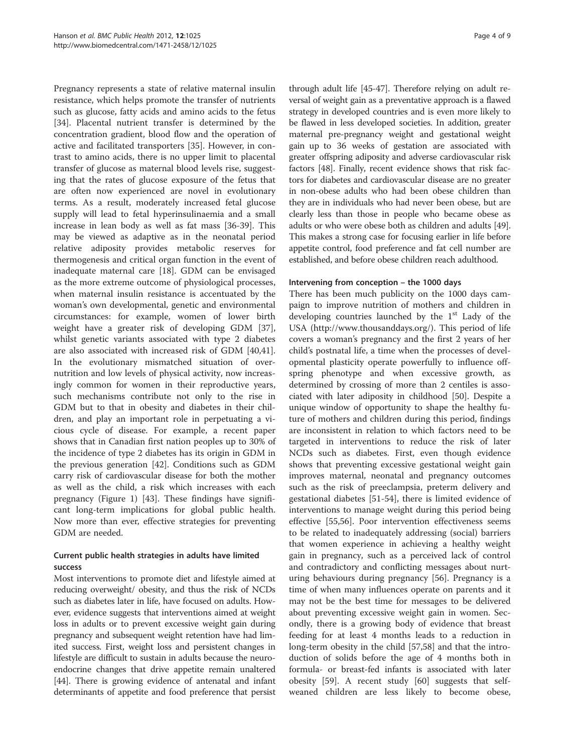Pregnancy represents a state of relative maternal insulin resistance, which helps promote the transfer of nutrients such as glucose, fatty acids and amino acids to the fetus [[34\]](#page-7-0). Placental nutrient transfer is determined by the concentration gradient, blood flow and the operation of active and facilitated transporters [[35\]](#page-7-0). However, in contrast to amino acids, there is no upper limit to placental transfer of glucose as maternal blood levels rise, suggesting that the rates of glucose exposure of the fetus that are often now experienced are novel in evolutionary terms. As a result, moderately increased fetal glucose supply will lead to fetal hyperinsulinaemia and a small increase in lean body as well as fat mass [[36-39\]](#page-7-0). This may be viewed as adaptive as in the neonatal period relative adiposity provides metabolic reserves for thermogenesis and critical organ function in the event of inadequate maternal care [[18\]](#page-6-0). GDM can be envisaged as the more extreme outcome of physiological processes, when maternal insulin resistance is accentuated by the woman's own developmental, genetic and environmental circumstances: for example, women of lower birth weight have a greater risk of developing GDM [\[37](#page-7-0)], whilst genetic variants associated with type 2 diabetes are also associated with increased risk of GDM [\[40,41](#page-7-0)]. In the evolutionary mismatched situation of overnutrition and low levels of physical activity, now increasingly common for women in their reproductive years, such mechanisms contribute not only to the rise in GDM but to that in obesity and diabetes in their children, and play an important role in perpetuating a vicious cycle of disease. For example, a recent paper shows that in Canadian first nation peoples up to 30% of the incidence of type 2 diabetes has its origin in GDM in the previous generation [\[42\]](#page-7-0). Conditions such as GDM carry risk of cardiovascular disease for both the mother as well as the child, a risk which increases with each pregnancy (Figure [1](#page-2-0)) [\[43\]](#page-7-0). These findings have significant long-term implications for global public health. Now more than ever, effective strategies for preventing GDM are needed.

# Current public health strategies in adults have limited success

Most interventions to promote diet and lifestyle aimed at reducing overweight/ obesity, and thus the risk of NCDs such as diabetes later in life, have focused on adults. However, evidence suggests that interventions aimed at weight loss in adults or to prevent excessive weight gain during pregnancy and subsequent weight retention have had limited success. First, weight loss and persistent changes in lifestyle are difficult to sustain in adults because the neuroendocrine changes that drive appetite remain unaltered [[44](#page-7-0)]. There is growing evidence of antenatal and infant determinants of appetite and food preference that persist

through adult life [\[45-47\]](#page-7-0). Therefore relying on adult reversal of weight gain as a preventative approach is a flawed strategy in developed countries and is even more likely to be flawed in less developed societies. In addition, greater maternal pre-pregnancy weight and gestational weight gain up to 36 weeks of gestation are associated with greater offspring adiposity and adverse cardiovascular risk factors [[48](#page-7-0)]. Finally, recent evidence shows that risk factors for diabetes and cardiovascular disease are no greater in non-obese adults who had been obese children than they are in individuals who had never been obese, but are clearly less than those in people who became obese as adults or who were obese both as children and adults [[49](#page-7-0)]. This makes a strong case for focusing earlier in life before appetite control, food preference and fat cell number are established, and before obese children reach adulthood.

# Intervening from conception – the 1000 days

There has been much publicity on the 1000 days campaign to improve nutrition of mothers and children in developing countries launched by the  $1<sup>st</sup>$  Lady of the USA (<http://www.thousanddays.org/>). This period of life covers a woman's pregnancy and the first 2 years of her child's postnatal life, a time when the processes of developmental plasticity operate powerfully to influence offspring phenotype and when excessive growth, as determined by crossing of more than 2 centiles is associated with later adiposity in childhood [[50](#page-7-0)]. Despite a unique window of opportunity to shape the healthy future of mothers and children during this period, findings are inconsistent in relation to which factors need to be targeted in interventions to reduce the risk of later NCDs such as diabetes. First, even though evidence shows that preventing excessive gestational weight gain improves maternal, neonatal and pregnancy outcomes such as the risk of preeclampsia, preterm delivery and gestational diabetes [\[51-54](#page-7-0)], there is limited evidence of interventions to manage weight during this period being effective [[55,56](#page-7-0)]. Poor intervention effectiveness seems to be related to inadequately addressing (social) barriers that women experience in achieving a healthy weight gain in pregnancy, such as a perceived lack of control and contradictory and conflicting messages about nurturing behaviours during pregnancy [\[56](#page-7-0)]. Pregnancy is a time of when many influences operate on parents and it may not be the best time for messages to be delivered about preventing excessive weight gain in women. Secondly, there is a growing body of evidence that breast feeding for at least 4 months leads to a reduction in long-term obesity in the child [[57,58\]](#page-7-0) and that the introduction of solids before the age of 4 months both in formula- or breast-fed infants is associated with later obesity [[59](#page-7-0)]. A recent study [\[60\]](#page-7-0) suggests that selfweaned children are less likely to become obese,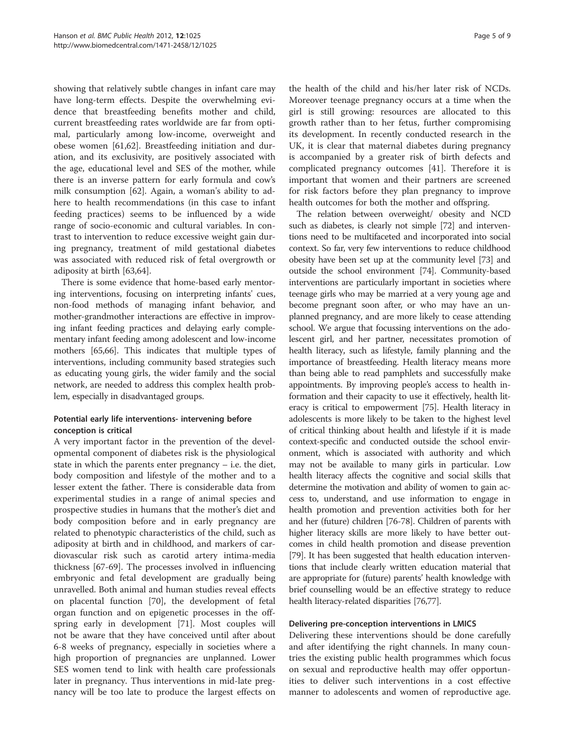showing that relatively subtle changes in infant care may have long-term effects. Despite the overwhelming evidence that breastfeeding benefits mother and child, current breastfeeding rates worldwide are far from optimal, particularly among low-income, overweight and obese women [\[61,62](#page-7-0)]. Breastfeeding initiation and duration, and its exclusivity, are positively associated with the age, educational level and SES of the mother, while there is an inverse pattern for early formula and cow's milk consumption [[62](#page-7-0)]. Again, a woman's ability to adhere to health recommendations (in this case to infant feeding practices) seems to be influenced by a wide range of socio-economic and cultural variables. In contrast to intervention to reduce excessive weight gain during pregnancy, treatment of mild gestational diabetes was associated with reduced risk of fetal overgrowth or adiposity at birth [\[63,64](#page-7-0)].

There is some evidence that home-based early mentoring interventions, focusing on interpreting infants' cues, non-food methods of managing infant behavior, and mother-grandmother interactions are effective in improving infant feeding practices and delaying early complementary infant feeding among adolescent and low-income mothers [[65,66\]](#page-7-0). This indicates that multiple types of interventions, including community based strategies such as educating young girls, the wider family and the social network, are needed to address this complex health problem, especially in disadvantaged groups.

# Potential early life interventions- intervening before conception is critical

A very important factor in the prevention of the developmental component of diabetes risk is the physiological state in which the parents enter pregnancy – i.e. the diet, body composition and lifestyle of the mother and to a lesser extent the father. There is considerable data from experimental studies in a range of animal species and prospective studies in humans that the mother's diet and body composition before and in early pregnancy are related to phenotypic characteristics of the child, such as adiposity at birth and in childhood, and markers of cardiovascular risk such as carotid artery intima-media thickness [\[67](#page-7-0)-[69](#page-7-0)]. The processes involved in influencing embryonic and fetal development are gradually being unravelled. Both animal and human studies reveal effects on placental function [[70\]](#page-7-0), the development of fetal organ function and on epigenetic processes in the offspring early in development [\[71](#page-7-0)]. Most couples will not be aware that they have conceived until after about 6-8 weeks of pregnancy, especially in societies where a high proportion of pregnancies are unplanned. Lower SES women tend to link with health care professionals later in pregnancy. Thus interventions in mid-late pregnancy will be too late to produce the largest effects on

the health of the child and his/her later risk of NCDs. Moreover teenage pregnancy occurs at a time when the girl is still growing: resources are allocated to this growth rather than to her fetus, further compromising its development. In recently conducted research in the UK, it is clear that maternal diabetes during pregnancy is accompanied by a greater risk of birth defects and complicated pregnancy outcomes [[41\]](#page-7-0). Therefore it is important that women and their partners are screened for risk factors before they plan pregnancy to improve health outcomes for both the mother and offspring.

The relation between overweight/ obesity and NCD such as diabetes, is clearly not simple [\[72\]](#page-7-0) and interventions need to be multifaceted and incorporated into social context. So far, very few interventions to reduce childhood obesity have been set up at the community level [[73](#page-7-0)] and outside the school environment [\[74\]](#page-7-0). Community-based interventions are particularly important in societies where teenage girls who may be married at a very young age and become pregnant soon after, or who may have an unplanned pregnancy, and are more likely to cease attending school. We argue that focussing interventions on the adolescent girl, and her partner, necessitates promotion of health literacy, such as lifestyle, family planning and the importance of breastfeeding. Health literacy means more than being able to read pamphlets and successfully make appointments. By improving people's access to health information and their capacity to use it effectively, health literacy is critical to empowerment [\[75\]](#page-7-0). Health literacy in adolescents is more likely to be taken to the highest level of critical thinking about health and lifestyle if it is made context-specific and conducted outside the school environment, which is associated with authority and which may not be available to many girls in particular. Low health literacy affects the cognitive and social skills that determine the motivation and ability of women to gain access to, understand, and use information to engage in health promotion and prevention activities both for her and her (future) children [\[76](#page-7-0)-[78](#page-7-0)]. Children of parents with higher literacy skills are more likely to have better outcomes in child health promotion and disease prevention [[79](#page-8-0)]. It has been suggested that health education interventions that include clearly written education material that are appropriate for (future) parents' health knowledge with brief counselling would be an effective strategy to reduce health literacy-related disparities [\[76,77](#page-7-0)].

#### Delivering pre-conception interventions in LMICS

Delivering these interventions should be done carefully and after identifying the right channels. In many countries the existing public health programmes which focus on sexual and reproductive health may offer opportunities to deliver such interventions in a cost effective manner to adolescents and women of reproductive age.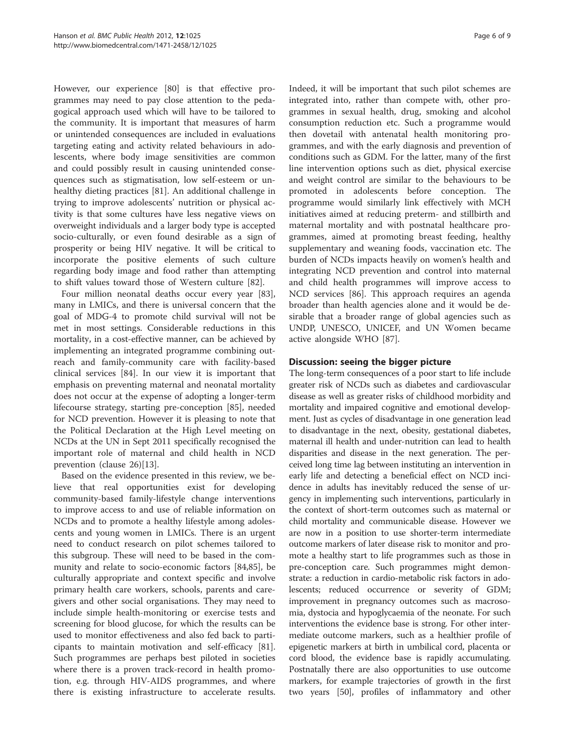However, our experience [\[80](#page-8-0)] is that effective programmes may need to pay close attention to the pedagogical approach used which will have to be tailored to the community. It is important that measures of harm or unintended consequences are included in evaluations targeting eating and activity related behaviours in adolescents, where body image sensitivities are common and could possibly result in causing unintended consequences such as stigmatisation, low self-esteem or unhealthy dieting practices [\[81](#page-8-0)]. An additional challenge in trying to improve adolescents' nutrition or physical activity is that some cultures have less negative views on overweight individuals and a larger body type is accepted socio-culturally, or even found desirable as a sign of prosperity or being HIV negative. It will be critical to incorporate the positive elements of such culture regarding body image and food rather than attempting to shift values toward those of Western culture [[82\]](#page-8-0).

Four million neonatal deaths occur every year [\[83](#page-8-0)], many in LMICs, and there is universal concern that the goal of MDG-4 to promote child survival will not be met in most settings. Considerable reductions in this mortality, in a cost-effective manner, can be achieved by implementing an integrated programme combining outreach and family-community care with facility-based clinical services [\[84](#page-8-0)]. In our view it is important that emphasis on preventing maternal and neonatal mortality does not occur at the expense of adopting a longer-term lifecourse strategy, starting pre-conception [\[85](#page-8-0)], needed for NCD prevention. However it is pleasing to note that the Political Declaration at the High Level meeting on NCDs at the UN in Sept 2011 specifically recognised the important role of maternal and child health in NCD prevention (clause 26)[[13](#page-6-0)].

Based on the evidence presented in this review, we believe that real opportunities exist for developing community-based family-lifestyle change interventions to improve access to and use of reliable information on NCDs and to promote a healthy lifestyle among adolescents and young women in LMICs. There is an urgent need to conduct research on pilot schemes tailored to this subgroup. These will need to be based in the community and relate to socio-economic factors [\[84,85\]](#page-8-0), be culturally appropriate and context specific and involve primary health care workers, schools, parents and caregivers and other social organisations. They may need to include simple health-monitoring or exercise tests and screening for blood glucose, for which the results can be used to monitor effectiveness and also fed back to participants to maintain motivation and self-efficacy [\[81](#page-8-0)]. Such programmes are perhaps best piloted in societies where there is a proven track-record in health promotion, e.g. through HIV-AIDS programmes, and where there is existing infrastructure to accelerate results.

Indeed, it will be important that such pilot schemes are integrated into, rather than compete with, other programmes in sexual health, drug, smoking and alcohol consumption reduction etc. Such a programme would then dovetail with antenatal health monitoring programmes, and with the early diagnosis and prevention of conditions such as GDM. For the latter, many of the first line intervention options such as diet, physical exercise and weight control are similar to the behaviours to be promoted in adolescents before conception. The programme would similarly link effectively with MCH initiatives aimed at reducing preterm- and stillbirth and maternal mortality and with postnatal healthcare programmes, aimed at promoting breast feeding, healthy supplementary and weaning foods, vaccination etc. The burden of NCDs impacts heavily on women's health and integrating NCD prevention and control into maternal and child health programmes will improve access to NCD services [\[86\]](#page-8-0). This approach requires an agenda broader than health agencies alone and it would be desirable that a broader range of global agencies such as UNDP, UNESCO, UNICEF, and UN Women became active alongside WHO [\[87](#page-8-0)].

# Discussion: seeing the bigger picture

The long-term consequences of a poor start to life include greater risk of NCDs such as diabetes and cardiovascular disease as well as greater risks of childhood morbidity and mortality and impaired cognitive and emotional development. Just as cycles of disadvantage in one generation lead to disadvantage in the next, obesity, gestational diabetes, maternal ill health and under-nutrition can lead to health disparities and disease in the next generation. The perceived long time lag between instituting an intervention in early life and detecting a beneficial effect on NCD incidence in adults has inevitably reduced the sense of urgency in implementing such interventions, particularly in the context of short-term outcomes such as maternal or child mortality and communicable disease. However we are now in a position to use shorter-term intermediate outcome markers of later disease risk to monitor and promote a healthy start to life programmes such as those in pre-conception care. Such programmes might demonstrate: a reduction in cardio-metabolic risk factors in adolescents; reduced occurrence or severity of GDM; improvement in pregnancy outcomes such as macrosomia, dystocia and hypoglycaemia of the neonate. For such interventions the evidence base is strong. For other intermediate outcome markers, such as a healthier profile of epigenetic markers at birth in umbilical cord, placenta or cord blood, the evidence base is rapidly accumulating. Postnatally there are also opportunities to use outcome markers, for example trajectories of growth in the first two years [\[50\]](#page-7-0), profiles of inflammatory and other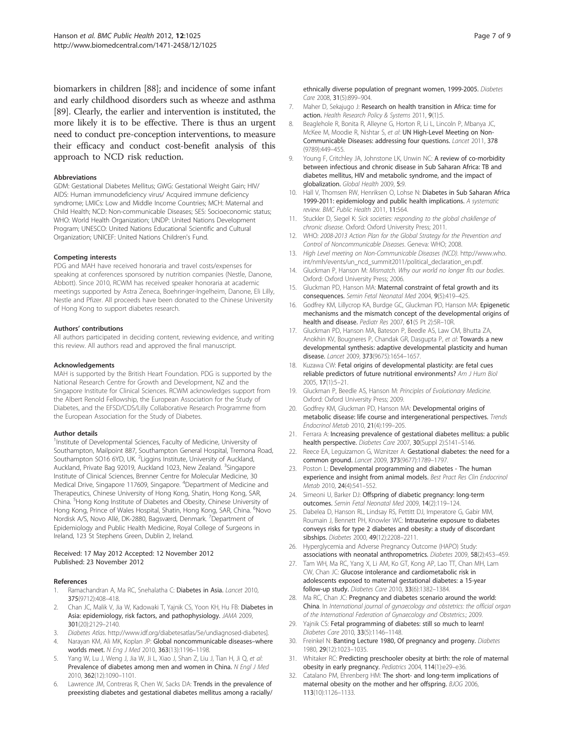<span id="page-6-0"></span>biomarkers in children [[88](#page-8-0)]; and incidence of some infant and early childhood disorders such as wheeze and asthma [[89](#page-8-0)]. Clearly, the earlier and intervention is instituted, the more likely it is to be effective. There is thus an urgent need to conduct pre-conception interventions, to measure their efficacy and conduct cost-benefit analysis of this approach to NCD risk reduction.

#### Abbreviations

GDM: Gestational Diabetes Mellitus; GWG: Gestational Weight Gain; HIV/ AIDS: Human immunodeficiency virus/ Acquired immune deficiency syndrome; LMICs: Low and Middle Income Countries; MCH: Maternal and Child Health; NCD: Non-communicable Diseases; SES: Socioeconomic status; WHO: World Health Organization; UNDP: United Nations Development Program; UNESCO: United Nations Educational Scientific and Cultural Organization; UNICEF: United Nations Children's Fund.

#### Competing interests

PDG and MAH have received honoraria and travel costs/expenses for speaking at conferences sponsored by nutrition companies (Nestle, Danone, Abbott). Since 2010, RCWM has received speaker honoraria at academic meetings supported by Astra Zeneca, Boehringer-Ingelheim, Danone, Eli Lilly, Nestle and Pfizer. All proceeds have been donated to the Chinese University of Hong Kong to support diabetes research.

#### Authors' contributions

All authors participated in deciding content, reviewing evidence, and writing this review. All authors read and approved the final manuscript.

#### Acknowledgements

MAH is supported by the British Heart Foundation. PDG is supported by the National Research Centre for Growth and Development, NZ and the Singapore Institute for Clinical Sciences. RCWM acknowledges support from the Albert Renold Fellowship, the European Association for the Study of Diabetes, and the EFSD/CDS/Lilly Collaborative Research Programme from the European Association for the Study of Diabetes.

#### Author details

<sup>1</sup>Institute of Developmental Sciences, Faculty of Medicine, University of Southampton, Mailpoint 887, Southampton General Hospital, Tremona Road, Southampton SO16 6YD, UK. <sup>2</sup> Liggins Institute, University of Auckland, Auckland, Private Bag 92019, Auckland 1023, New Zealand. <sup>3</sup>Singapore Institute of Clinical Sciences, Brenner Centre for Molecular Medicine, 30 Medical Drive, Singapore 117609, Singapore. <sup>4</sup>Department of Medicine and Therapeutics, Chinese University of Hong Kong, Shatin, Hong Kong, SAR, China. <sup>5</sup>Hong Kong Institute of Diabetes and Obesity, Chinese University of Hong Kong, Prince of Wales Hospital, Shatin, Hong Kong, SAR, China. <sup>6</sup>Novo Nordisk A/S, Novo Allé, DK-2880, Bagsværd, Denmark. <sup>7</sup>Department of Epidemiology and Public Health Medicine, Royal College of Surgeons in Ireland, 123 St Stephens Green, Dublin 2, Ireland.

#### Received: 17 May 2012 Accepted: 12 November 2012 Published: 23 November 2012

#### References

- Ramachandran A, Ma RC, Snehalatha C: Diabetes in Asia. Lancet 2010, 375(9712):408–418.
- Chan JC, Malik V, Jia W, Kadowaki T, Yajnik CS, Yoon KH, Hu FB: Diabetes in Asia: epidemiology, risk factors, and pathophysiology. JAMA 2009, 301(20):2129–2140.
- 3. Diabetes Atlas. [http://www.idf.org/diabetesatlas/5e/undiagnosed-diabetes\]](http://www.idf.org/diabetesatlas/5e/undiagnosed-diabetes).
- Narayan KM, Ali MK, Koplan JP: Global noncommunicable diseases-where worlds meet. N Eng J Med 2010, 363(13):1196–1198.
- 5. Yang W, Lu J, Weng J, Jia W, Ji L, Xiao J, Shan Z, Liu J, Tian H, Ji Q, et al: Prevalence of diabetes among men and women in China. N Engl J Med 2010, 362(12):1090–1101.
- 6. Lawrence JM, Contreras R, Chen W, Sacks DA: Trends in the prevalence of preexisting diabetes and gestational diabetes mellitus among a racially/

ethnically diverse population of pregnant women, 1999-2005. Diabetes Care 2008, 31(5):899–904.

- 7. Maher D, Sekajugo J: Research on health transition in Africa: time for action. Health Research Policy & Systems 2011, 9(1):5.
- 8. Beaglehole R, Bonita R, Alleyne G, Horton R, Li L, Lincoln P, Mbanya JC, McKee M, Moodie R, Nishtar S, et al: UN High-Level Meeting on Non-Communicable Diseases: addressing four questions. Lancet 2011, 378 (9789):449–455.
- 9. Young F, Critchley JA, Johnstone LK, Unwin NC: A review of co-morbidity between infectious and chronic disease in Sub Saharan Africa: TB and diabetes mellitus, HIV and metabolic syndrome, and the impact of globalization. Global Health 2009, 5:9.
- 10. Hall V, Thomsen RW, Henriksen O, Lohse N: Diabetes in Sub Saharan Africa 1999-2011: epidemiology and public health implications. A systematic review. BMC Public Health 2011, 11:564.
- 11. Stuckler D, Siegel K: Sick societies: responding to the global chakllenge of chronic disease. Oxford: Oxford University Press; 2011.
- 12. WHO: 2008-2013 Action Plan for the Global Strategy for the Prevention and Control of Noncommunicable Diseases. Geneva: WHO; 2008.
- 13. High Level meeting on Non-Communicable Diseases (NCD). [http://www.who.](http://www.who.int/nmh/events/un_ncd_summit2011/political_declaration_en.pdf) [int/nmh/events/un\\_ncd\\_summit2011/political\\_declaration\\_en.pdf.](http://www.who.int/nmh/events/un_ncd_summit2011/political_declaration_en.pdf)
- 14. Gluckman P, Hanson M: Mismatch. Why our world no longer fits our bodies. Oxford: Oxford University Press; 2006.
- 15. Gluckman PD, Hanson MA: Maternal constraint of fetal growth and its consequences. Semin Fetal Neonatal Med 2004, 9(5):419–425.
- 16. Godfrey KM, Lillycrop KA, Burdge GC, Gluckman PD, Hanson MA: Epigenetic mechanisms and the mismatch concept of the developmental origins of health and disease. Pediatr Res 2007, 61(5 Pt 2):5R–10R.
- 17. Gluckman PD, Hanson MA, Bateson P, Beedle AS, Law CM, Bhutta ZA, Anokhin KV, Bougneres P, Chandak GR, Dasgupta P, et al: Towards a new developmental synthesis: adaptive developmental plasticity and human disease. Lancet 2009, 373(9675):1654–1657.
- 18. Kuzawa CW: Fetal origins of developmental plasticity: are fetal cues reliable predictors of future nutritional environments? Am J Hum Biol 2005, 17(1):5–21.
- 19. Gluckman P, Beedle AS, Hanson M: Principles of Evolutionary Medicine. Oxford: Oxford University Press; 2009.
- 20. Godfrey KM, Gluckman PD, Hanson MA: Developmental origins of metabolic disease: life course and intergenerational perspectives. Trends Endocrinol Metab 2010, 21(4):199–205.
- 21. Ferrara A: Increasing prevalence of gestational diabetes mellitus: a public health perspective. Diabetes Care 2007, 30(Suppl 2):S141-S146.
- 22. Reece EA, Lequizamon G, Wiznitzer A: Gestational diabetes: the need for a common ground. Lancet 2009, 373(9677):1789–1797.
- 23. Poston L: Developmental programming and diabetes The human experience and insight from animal models. Best Pract Res Clin Endocrinol Metab 2010, 24(4):541–552.
- 24. Simeoni U, Barker DJ: Offspring of diabetic pregnancy: long-term outcomes. Semin Fetal Neonatal Med 2009, 14(2):119–124.
- 25. Dabelea D, Hanson RL, Lindsay RS, Pettitt DJ, Imperatore G, Gabir MM, Roumain J, Bennett PH, Knowler WC: Intrauterine exposure to diabetes conveys risks for type 2 diabetes and obesity: a study of discordant sibships. Diabetes 2000, 49(12):2208–2211.
- 26. Hyperglycemia and Adverse Pregnancy Outcome (HAPO) Study: associations with neonatal anthropometrics. Diabetes 2009, 58(2):453–459.
- 27. Tam WH, Ma RC, Yang X, Li AM, Ko GT, Kong AP, Lao TT, Chan MH, Lam CW, Chan JC: Glucose intolerance and cardiometabolic risk in adolescents exposed to maternal gestational diabetes: a 15-year follow-up study. Diabetes Care 2010, 33(6):1382–1384.
- 28. Ma RC, Chan JC: Pregnancy and diabetes scenario around the world: China. In International journal of gynaecology and obstetrics: the official organ of the International Federation of Gynaecology and Obstetrics.; 2009.
- 29. Yajnik CS: Fetal programming of diabetes: still so much to learn! Diabetes Care 2010, 33(5):1146–1148.
- 30. Freinkel N: Banting Lecture 1980, Of pregnancy and progeny. Diabetes 1980, 29(12):1023–1035.
- 31. Whitaker RC: Predicting preschooler obesity at birth: the role of maternal obesity in early pregnancy. Pediatrics 2004, 114(1):e29–e36.
- 32. Catalano PM, Ehrenberg HM: The short- and long-term implications of maternal obesity on the mother and her offspring. BJOG 2006, 113(10):1126–1133.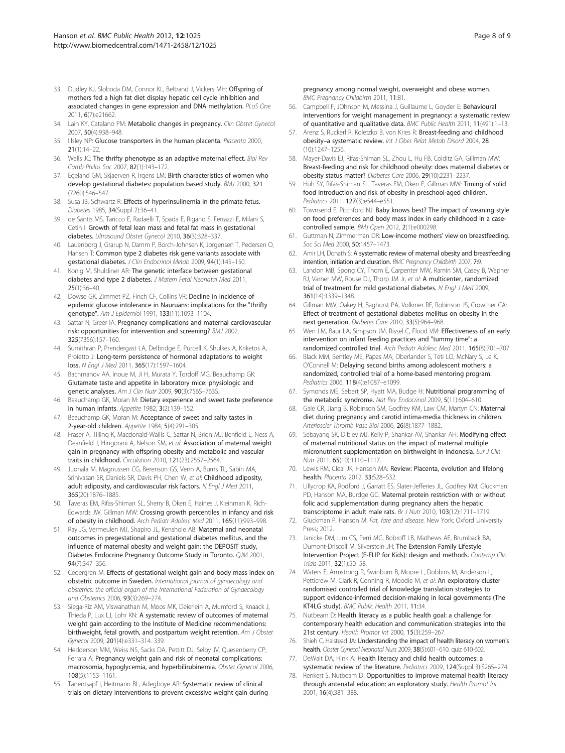- <span id="page-7-0"></span>33. Dudley KJ, Sloboda DM, Connor KL, Beltrand J, Vickers MH: Offspring of mothers fed a high fat diet display hepatic cell cycle inhibition and associated changes in gene expression and DNA methylation. PLoS One 2011, 6(7):e21662.
- 34. Lain KY, Catalano PM: Metabolic changes in pregnancy. Clin Obstet Gynecol 2007, 50(4):938–948.
- 35. Illsley NP: Glucose transporters in the human placenta. Placenta 2000, 21(1):14–22.
- 36. Wells JC: The thrifty phenotype as an adaptive maternal effect. Biol Rev Camb Philos Soc 2007, 82(1):143–172.
- 37. Egeland GM, Skjaerven R, Irgens LM: Birth characteristics of women who develop gestational diabetes: population based study. BMJ 2000, 321 (7260):546–547.
- 38. Susa JB, Schwartz R: Effects of hyperinsulinemia in the primate fetus. Diabetes 1985, 34(Suppl 2):36–41.
- 39. de Santis MS, Taricco E, Radaelli T, Spada E, Rigano S, Ferrazzi E, Milani S, Cetin I: Growth of fetal lean mass and fetal fat mass in gestational diabetes. Ultrasound Obstet Gynecol 2010, 36(3):328–337.
- 40. Lauenborg J, Grarup N, Damm P, Borch-Johnsen K, Jorgensen T, Pedersen O, Hansen T: Common type 2 diabetes risk gene variants associate with gestational diabetes. J Clin Endocrinol Metab 2009, 94(1):145–150.
- 41. Konig M, Shuldiner AR: The genetic interface between gestational diabetes and type 2 diabetes. J Matern Fetal Neonatal Med 2011, 25(1):36–40.
- 42. Dowse GK, Zimmet PZ, Finch CF, Collins VR: Decline in incidence of epidemic glucose intolerance in Nauruans: implications for the "thrifty genotype". Am J Epidemiol 1991, 133(11):1093–1104.
- 43. Sattar N, Greer IA: Pregnancy complications and maternal cardiovascular risk: opportunities for intervention and screening? BMJ 2002, 325(7356):157–160.
- 44. Sumithran P, Prendergast LA, Delbridge E, Purcell K, Shulkes A, Kriketos A, Proietto J: Long-term persistence of hormonal adaptations to weight loss. N Engl J Med 2011, 365(17):1597–1604.
- 45. Bachmanov AA, Inoue M, Ji H, Murata Y, Tordoff MG, Beauchamp GK: Glutamate taste and appetite in laboratory mice: physiologic and genetic analyses. Am J Clin Nutr 2009, 90(3):756S-763S.
- 46. Beauchamp GK, Moran M: Dietary experience and sweet taste preference in human infants. Appetite 1982, 3(2):139–152.
- 47. Beauchamp GK, Moran M: Acceptance of sweet and salty tastes in 2-year-old children. Appetite 1984, 5(4):291–305.
- 48. Fraser A, Tilling K, Macdonald-Wallis C, Sattar N, Brion MJ, Benfield L, Ness A, Deanfield J, Hingorani A, Nelson SM, et al: Association of maternal weight gain in pregnancy with offspring obesity and metabolic and vascular traits in childhood. Circulation 2010, 121(23):2557–2564.
- Juonala M, Magnussen CG, Berenson GS, Venn A, Burns TL, Sabin MA, Srinivasan SR, Daniels SR, Davis PH, Chen W, et al: Childhood adiposity, adult adiposity, and cardiovascular risk factors. N Engl J Med 2011, 365(20):1876–1885.
- 50. Taveras EM, Rifas-Shiman SL, Sherry B, Oken E, Haines J, Kleinman K, Rich-Edwards JW, Gillman MW: Crossing growth percentiles in infancy and risk of obesity in childhood. Arch Pediatr Adolesc Med 2011, 165(11):993–998.
- 51. Ray JG, Vermeulen MJ, Shapiro JL, Kenshole AB: Maternal and neonatal outcomes in pregestational and gestational diabetes mellitus, and the influence of maternal obesity and weight gain: the DEPOSIT study, Diabetes Endocrine Pregnancy Outcome Study in Toronto. QJM 2001, 94(7):347–356.
- 52. Cedergren M: Effects of gestational weight gain and body mass index on obstetric outcome in Sweden. International journal of gynaecology and obstetrics: the official organ of the International Federation of Gynaecology and Obstetrics 2006, 93(3):269–274.
- 53. Siega-Riz AM, Viswanathan M, Moos MK, Deierlein A, Mumford S, Knaack J, Thieda P, Lux LJ, Lohr KN: A systematic review of outcomes of maternal weight gain according to the Institute of Medicine recommendations: birthweight, fetal growth, and postpartum weight retention. Am J Obstet Gynecol 2009, 201(4):e331–314. 339.
- 54. Hedderson MM, Weiss NS, Sacks DA, Pettitt DJ, Selby JV, Quesenberry CP, Ferrara A: Pregnancy weight gain and risk of neonatal complications: macrosomia, hypoglycemia, and hyperbilirubinemia. Obstet Gynecol 2006, 108(5):1153–1161.
- 55. Tanentsapf I, Heitmann BL, Adegboye AR: Systematic review of clinical trials on dietary interventions to prevent excessive weight gain during

pregnancy among normal weight, overweight and obese women. BMC Pregnancy Childbirth 2011, 11:81.

- 56. Campbell F, JOhnson M, Messina J, Guillaume L, Goyder E: Behavioural interventions for weight management in pregnancy: a systematic review of quantitative and qualitative data. BMC Public Health 2011, 11(491):1–13.
- 57. Arenz S, Ruckerl R, Koletzko B, von Kries R: Breast-feeding and childhood obesity–a systematic review. Int J Obes Relat Metab Disord 2004, 28 (10):1247–1256.
- 58. Mayer-Davis EJ, Rifas-Shiman SL, Zhou L, Hu FB, Colditz GA, Gillman MW: Breast-feeding and risk for childhood obesity: does maternal diabetes or obesity status matter? Diabetes Care 2006, 29(10):2231–2237.
- Huh SY, Rifas-Shiman SL, Taveras EM, Oken E, Gillman MW: Timing of solid food introduction and risk of obesity in preschool-aged children. Pediatrics 2011, 127(3):e544–e551.
- 60. Townsend E, Pitchford NJ: Baby knows best? The impact of weaning style on food preferences and body mass index in early childhood in a casecontrolled sample. BMJ Open 2012, 2(1):e000298.
- 61. Guttman N, Zimmerman DR: Low-income mothers' view on breastfeeding. Soc Sci Med 2000, 50:1457–1473.
- 62. Amir LH, Donath S: A systematic review of maternal obesity and breastfeeding intention, initiation and duration. BMC Pregnancy Childbirth 2007, 7:9.
- Landon MB, Spong CY, Thom E, Carpenter MW, Ramin SM, Casey B, Wapner RJ, Varner MW, Rouse DJ, Thorp JM Jr, et al: A multicenter, randomized trial of treatment for mild gestational diabetes. N Engl J Med 2009, 361(14):1339–1348.
- 64. Gillman MW, Oakey H, Baghurst PA, Volkmer RE, Robinson JS, Crowther CA: Effect of treatment of gestational diabetes mellitus on obesity in the next generation. Diabetes Care 2010, 33(5):964–968.
- Wen LM, Baur LA, Simpson JM, Rissel C, Flood VM: Effectiveness of an early intervention on infant feeding practices and "tummy time": a randomized controlled trial. Arch Pediatr Adolesc Med 2011, 165(8):701–707.
- 66. Black MM, Bentley ME, Papas MA, Oberlander S, Teti LO, McNary S, Le K, O'Connell M: Delaying second births among adolescent mothers: a randomized, controlled trial of a home-based mentoring program. Pediatrics 2006, 118(4):e1087–e1099.
- 67. Symonds ME, Sebert SP, Hyatt MA, Budge H: Nutritional programming of the metabolic syndrome. Nat Rev Endocrinol 2009, 5(11):604-610.
- 68. Gale CR, Jiang B, Robinson SM, Godfrey KM, Law CM, Martyn CN: Maternal diet during pregnancy and carotid intima-media thickness in children. Arterioscler Thromb Vasc Biol 2006, 26(8):1877–1882.
- 69. Sebayang SK, Dibley MJ, Kelly P, Shankar AV, Shankar AH: Modifying effect of maternal nutritional status on the impact of maternal multiple micronutrient supplementation on birthweight in Indonesia. Eur J Clin Nutr 2011, 65(10):1110–1117.
- 70. Lewis RM, Cleal JK, Hanson MA: Review: Placenta, evolution and lifelong health. Placenta 2012, 33:S28–S32.
- 71. Lillycrop KA, Rodford J, Garratt ES, Slater-Jefferies JL, Godfrey KM, Gluckman PD, Hanson MA, Burdge GC: Maternal protein restriction with or without folic acid supplementation during pregnancy alters the hepatic transcriptome in adult male rats. Br J Nutr 2010, 103(12):1711–1719.
- 72. Gluckman P, Hanson M: Fat, fate and disease. New York: Oxford University Press; 2012.
- 73. Janicke DM, Lim CS, Perri MG, Bobroff LB, Mathews AE, Brumback BA, Dumont-Driscoll M, Silverstein JH: The Extension Family Lifestyle Intervention Project (E-FLIP for Kids): design and methods. Contemp Clin Trials 2011, 32(1):50–58.
- 74. Waters E, Armstrong R, Swinburn B, Moore L, Dobbins M, Anderson L, Petticrew M, Clark R, Conning R, Moodie M, et al: An exploratory cluster randomised controlled trial of knowledge translation strategies to support evidence-informed decision-making in local governments (The KT4LG study). BMC Public Health 2011, 11:34.
- 75. Nutbeam D: Health literacy as a public health goal: a challenge for contemporary health education and communication strategies into the 21st century. Health Promot Int 2000, 15(3):259–267.
- 76. Shieh C, Halstead JA: Understanding the impact of health literacy on women's health. Obstet Gynecol Neonatal Nurs 2009, 38(5):601–610. quiz 610-602.
- 77. DeWalt DA, Hink A: Health literacy and child health outcomes: a systematic review of the literature. Pediatrics 2009, 124(Suppl 3):S265-274.
- 78. Renkert S, Nutbeam D: Opportunities to improve maternal health literacy through antenatal education: an exploratory study. Health Promot Int 2001, 16(4):381–388.